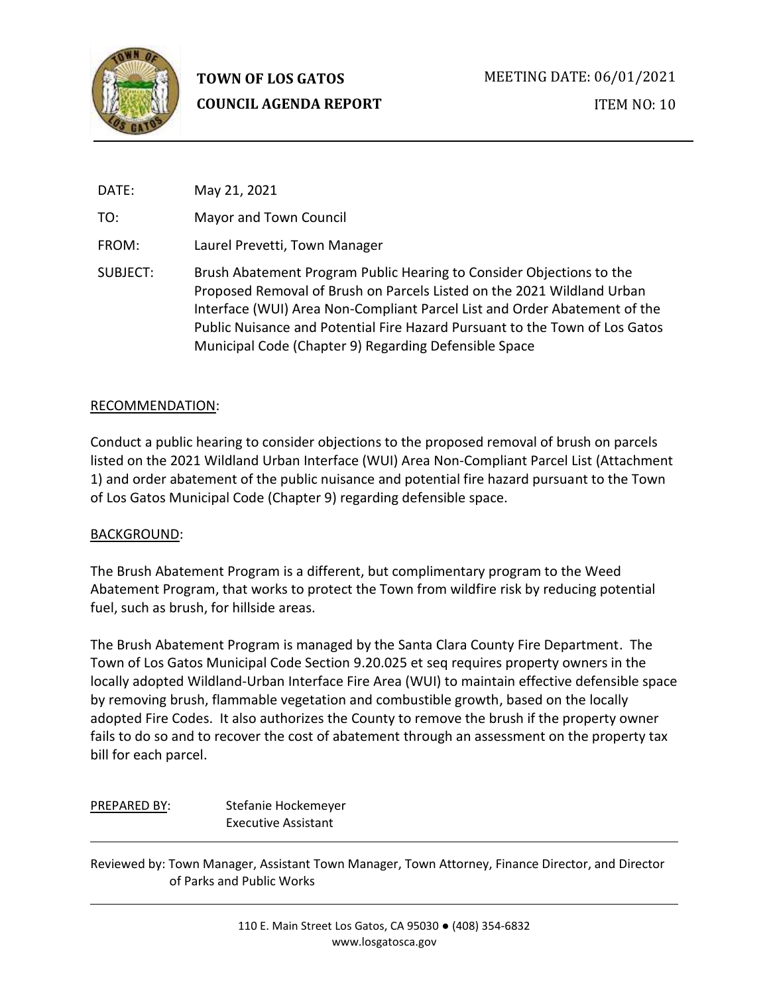

| DATE:    | May 21, 2021                                                                                                                                                                                                                                                                                                                                                        |
|----------|---------------------------------------------------------------------------------------------------------------------------------------------------------------------------------------------------------------------------------------------------------------------------------------------------------------------------------------------------------------------|
| TO:      | Mayor and Town Council                                                                                                                                                                                                                                                                                                                                              |
| FROM:    | Laurel Prevetti, Town Manager                                                                                                                                                                                                                                                                                                                                       |
| SUBJECT: | Brush Abatement Program Public Hearing to Consider Objections to the<br>Proposed Removal of Brush on Parcels Listed on the 2021 Wildland Urban<br>Interface (WUI) Area Non-Compliant Parcel List and Order Abatement of the<br>Public Nuisance and Potential Fire Hazard Pursuant to the Town of Los Gatos<br>Municipal Code (Chapter 9) Regarding Defensible Space |

#### RECOMMENDATION:

Conduct a public hearing to consider objections to the proposed removal of brush on parcels listed on the 2021 Wildland Urban Interface (WUI) Area Non-Compliant Parcel List (Attachment 1) and order abatement of the public nuisance and potential fire hazard pursuant to the Town of Los Gatos Municipal Code (Chapter 9) regarding defensible space.

#### BACKGROUND:

The Brush Abatement Program is a different, but complimentary program to the Weed Abatement Program, that works to protect the Town from wildfire risk by reducing potential fuel, such as brush, for hillside areas.

The Brush Abatement Program is managed by the Santa Clara County Fire Department. The Town of Los Gatos Municipal Code Section 9.20.025 et seq requires property owners in the locally adopted Wildland-Urban Interface Fire Area (WUI) to maintain effective defensible space by removing brush, flammable vegetation and combustible growth, based on the locally adopted Fire Codes. It also authorizes the County to remove the brush if the property owner fails to do so and to recover the cost of abatement through an assessment on the property tax bill for each parcel.

| PREPARED BY: | Stefanie Hockemeyer        |
|--------------|----------------------------|
|              | <b>Executive Assistant</b> |

Reviewed by: Town Manager, Assistant Town Manager, Town Attorney, Finance Director, and Director of Parks and Public Works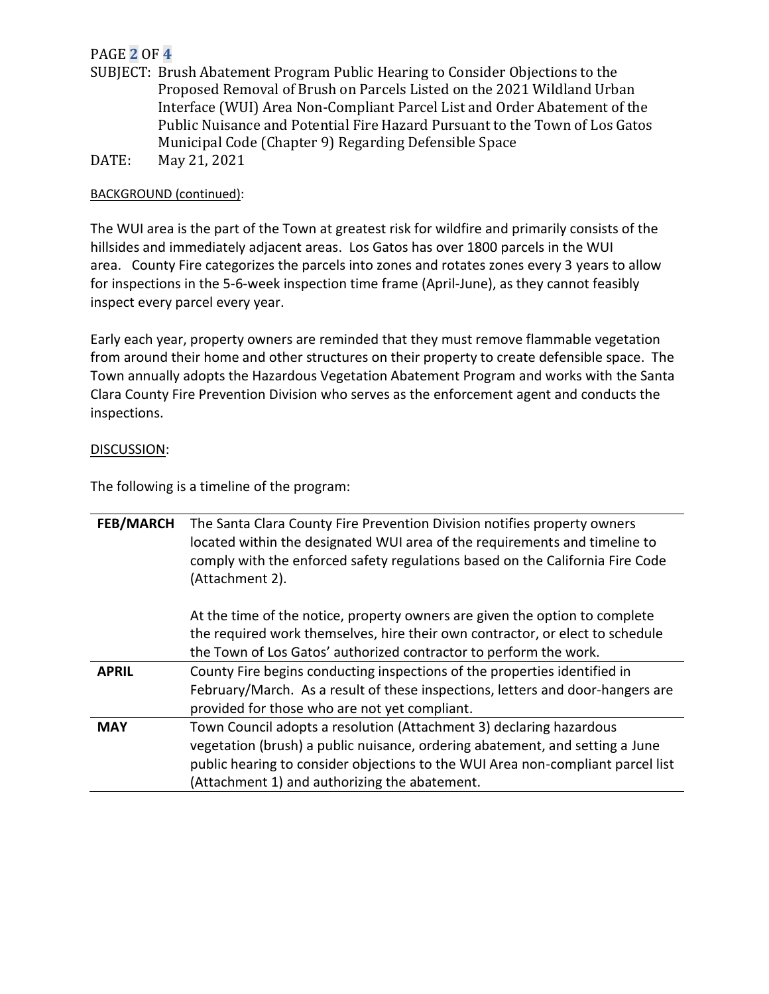# PAGE **2** OF **4**

- SUBJECT: Brush Abatement Program Public Hearing to Consider Objections to the Proposed Removal of Brush on Parcels Listed on the 2021 Wildland Urban Interface (WUI) Area Non-Compliant Parcel List and Order Abatement of the Public Nuisance and Potential Fire Hazard Pursuant to the Town of Los Gatos Municipal Code (Chapter 9) Regarding Defensible Space
- DATE: May 21, 2021

## BACKGROUND (continued):

The WUI area is the part of the Town at greatest risk for wildfire and primarily consists of the hillsides and immediately adjacent areas. Los Gatos has over 1800 parcels in the WUI area. County Fire categorizes the parcels into zones and rotates zones every 3 years to allow for inspections in the 5-6-week inspection time frame (April-June), as they cannot feasibly inspect every parcel every year.

Early each year, property owners are reminded that they must remove flammable vegetation from around their home and other structures on their property to create defensible space. The Town annually adopts the Hazardous Vegetation Abatement Program and works with the Santa Clara County Fire Prevention Division who serves as the enforcement agent and conducts the inspections.

### DISCUSSION:

The following is a timeline of the program:

| <b>FEB/MARCH</b> | The Santa Clara County Fire Prevention Division notifies property owners<br>located within the designated WUI area of the requirements and timeline to<br>comply with the enforced safety regulations based on the California Fire Code<br>(Attachment 2).                              |
|------------------|-----------------------------------------------------------------------------------------------------------------------------------------------------------------------------------------------------------------------------------------------------------------------------------------|
|                  | At the time of the notice, property owners are given the option to complete<br>the required work themselves, hire their own contractor, or elect to schedule<br>the Town of Los Gatos' authorized contractor to perform the work.                                                       |
| <b>APRIL</b>     | County Fire begins conducting inspections of the properties identified in<br>February/March. As a result of these inspections, letters and door-hangers are<br>provided for those who are not yet compliant.                                                                            |
| <b>MAY</b>       | Town Council adopts a resolution (Attachment 3) declaring hazardous<br>vegetation (brush) a public nuisance, ordering abatement, and setting a June<br>public hearing to consider objections to the WUI Area non-compliant parcel list<br>(Attachment 1) and authorizing the abatement. |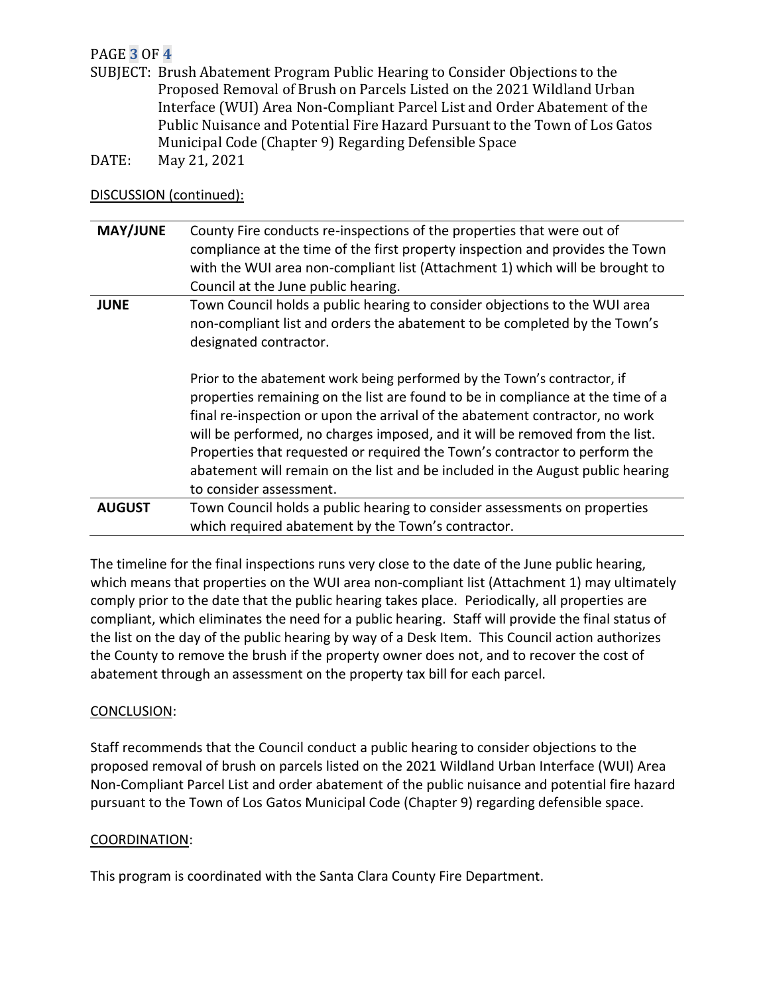# PAGE **3** OF **4**

- SUBJECT: Brush Abatement Program Public Hearing to Consider Objections to the Proposed Removal of Brush on Parcels Listed on the 2021 Wildland Urban Interface (WUI) Area Non-Compliant Parcel List and Order Abatement of the Public Nuisance and Potential Fire Hazard Pursuant to the Town of Los Gatos Municipal Code (Chapter 9) Regarding Defensible Space DATE: May 21, 2021
- 

## DISCUSSION (continued):

| <b>MAY/JUNE</b> | County Fire conducts re-inspections of the properties that were out of                                                                                                                                                                                                                                                                                                                                                                                                                                                 |
|-----------------|------------------------------------------------------------------------------------------------------------------------------------------------------------------------------------------------------------------------------------------------------------------------------------------------------------------------------------------------------------------------------------------------------------------------------------------------------------------------------------------------------------------------|
|                 | compliance at the time of the first property inspection and provides the Town                                                                                                                                                                                                                                                                                                                                                                                                                                          |
|                 | with the WUI area non-compliant list (Attachment 1) which will be brought to                                                                                                                                                                                                                                                                                                                                                                                                                                           |
|                 | Council at the June public hearing.                                                                                                                                                                                                                                                                                                                                                                                                                                                                                    |
| <b>JUNE</b>     | Town Council holds a public hearing to consider objections to the WUI area<br>non-compliant list and orders the abatement to be completed by the Town's<br>designated contractor.                                                                                                                                                                                                                                                                                                                                      |
|                 | Prior to the abatement work being performed by the Town's contractor, if<br>properties remaining on the list are found to be in compliance at the time of a<br>final re-inspection or upon the arrival of the abatement contractor, no work<br>will be performed, no charges imposed, and it will be removed from the list.<br>Properties that requested or required the Town's contractor to perform the<br>abatement will remain on the list and be included in the August public hearing<br>to consider assessment. |
| <b>AUGUST</b>   | Town Council holds a public hearing to consider assessments on properties                                                                                                                                                                                                                                                                                                                                                                                                                                              |
|                 | which required abatement by the Town's contractor.                                                                                                                                                                                                                                                                                                                                                                                                                                                                     |

The timeline for the final inspections runs very close to the date of the June public hearing, which means that properties on the WUI area non-compliant list (Attachment 1) may ultimately comply prior to the date that the public hearing takes place. Periodically, all properties are compliant, which eliminates the need for a public hearing. Staff will provide the final status of the list on the day of the public hearing by way of a Desk Item. This Council action authorizes the County to remove the brush if the property owner does not, and to recover the cost of abatement through an assessment on the property tax bill for each parcel.

## CONCLUSION:

Staff recommends that the Council conduct a public hearing to consider objections to the proposed removal of brush on parcels listed on the 2021 Wildland Urban Interface (WUI) Area Non-Compliant Parcel List and order abatement of the public nuisance and potential fire hazard pursuant to the Town of Los Gatos Municipal Code (Chapter 9) regarding defensible space.

### COORDINATION:

This program is coordinated with the Santa Clara County Fire Department.